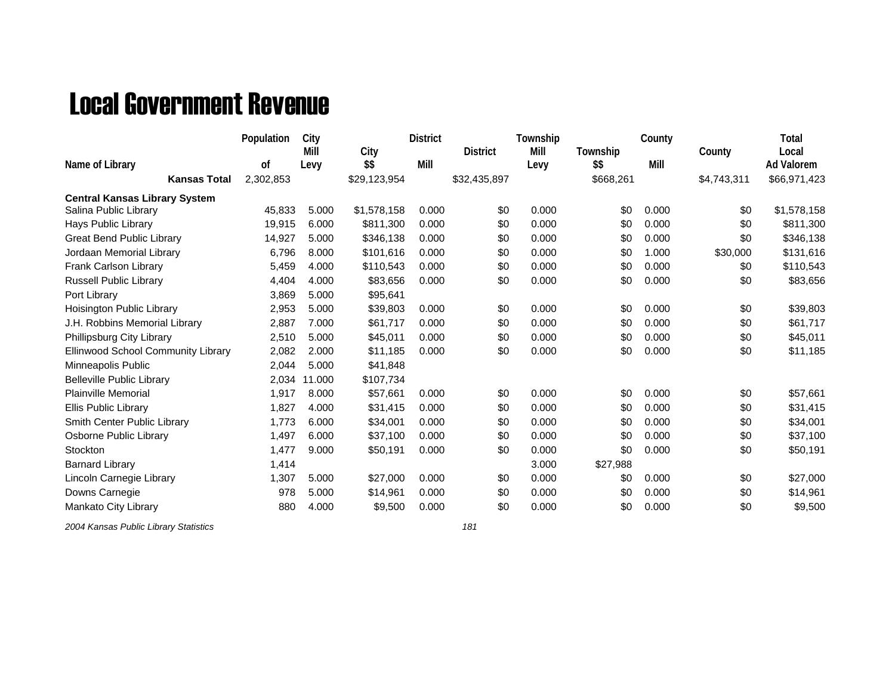## Local Government Revenue

|                                      | Population | City   |              | <b>District</b> |                 | Township |           | County |             | Total             |
|--------------------------------------|------------|--------|--------------|-----------------|-----------------|----------|-----------|--------|-------------|-------------------|
|                                      |            | Mill   | City         |                 | <b>District</b> | Mill     | Township  |        | County      | Local             |
| Name of Library                      | 0f         | Levy   | \$\$         | Mill            |                 | Levy     | \$\$      | Mill   |             | <b>Ad Valorem</b> |
| <b>Kansas Total</b>                  | 2,302,853  |        | \$29,123,954 |                 | \$32,435,897    |          | \$668,261 |        | \$4,743,311 | \$66,971,423      |
| <b>Central Kansas Library System</b> |            |        |              |                 |                 |          |           |        |             |                   |
| Salina Public Library                | 45,833     | 5.000  | \$1,578,158  | 0.000           | \$0             | 0.000    | \$0       | 0.000  | \$0         | \$1,578,158       |
| Hays Public Library                  | 19,915     | 6.000  | \$811,300    | 0.000           | \$0             | 0.000    | \$0       | 0.000  | \$0         | \$811,300         |
| <b>Great Bend Public Library</b>     | 14,927     | 5.000  | \$346,138    | 0.000           | \$0             | 0.000    | \$0       | 0.000  | \$0         | \$346,138         |
| Jordaan Memorial Library             | 6,796      | 8.000  | \$101,616    | 0.000           | \$0             | 0.000    | \$0       | 1.000  | \$30,000    | \$131,616         |
| Frank Carlson Library                | 5,459      | 4.000  | \$110,543    | 0.000           | \$0             | 0.000    | \$0       | 0.000  | \$0         | \$110,543         |
| <b>Russell Public Library</b>        | 4,404      | 4.000  | \$83,656     | 0.000           | \$0             | 0.000    | \$0       | 0.000  | \$0         | \$83,656          |
| Port Library                         | 3,869      | 5.000  | \$95,641     |                 |                 |          |           |        |             |                   |
| Hoisington Public Library            | 2,953      | 5.000  | \$39,803     | 0.000           | \$0             | 0.000    | \$0       | 0.000  | \$0         | \$39,803          |
| J.H. Robbins Memorial Library        | 2,887      | 7.000  | \$61,717     | 0.000           | \$0             | 0.000    | \$0       | 0.000  | \$0         | \$61,717          |
| Phillipsburg City Library            | 2,510      | 5.000  | \$45,011     | 0.000           | \$0             | 0.000    | \$0       | 0.000  | \$0         | \$45,011          |
| Ellinwood School Community Library   | 2,082      | 2.000  | \$11,185     | 0.000           | \$0             | 0.000    | \$0       | 0.000  | \$0         | \$11,185          |
| Minneapolis Public                   | 2,044      | 5.000  | \$41,848     |                 |                 |          |           |        |             |                   |
| <b>Belleville Public Library</b>     | 2,034      | 11.000 | \$107,734    |                 |                 |          |           |        |             |                   |
| <b>Plainville Memorial</b>           | 1,917      | 8.000  | \$57,661     | 0.000           | \$0             | 0.000    | \$0       | 0.000  | \$0         | \$57,661          |
| Ellis Public Library                 | 1,827      | 4.000  | \$31,415     | 0.000           | \$0             | 0.000    | \$0       | 0.000  | \$0         | \$31,415          |
| Smith Center Public Library          | 1,773      | 6.000  | \$34,001     | 0.000           | \$0             | 0.000    | \$0       | 0.000  | \$0         | \$34,001          |
| Osborne Public Library               | 1,497      | 6.000  | \$37,100     | 0.000           | \$0             | 0.000    | \$0       | 0.000  | \$0         | \$37,100          |
| Stockton                             | 1,477      | 9.000  | \$50,191     | 0.000           | \$0             | 0.000    | \$0       | 0.000  | \$0         | \$50,191          |
| <b>Barnard Library</b>               | 1,414      |        |              |                 |                 | 3.000    | \$27,988  |        |             |                   |
| Lincoln Carnegie Library             | 1,307      | 5.000  | \$27,000     | 0.000           | \$0             | 0.000    | \$0       | 0.000  | \$0         | \$27,000          |
| Downs Carnegie                       | 978        | 5.000  | \$14,961     | 0.000           | \$0             | 0.000    | \$0       | 0.000  | \$0         | \$14,961          |
| Mankato City Library                 | 880        | 4.000  | \$9,500      | 0.000           | \$0             | 0.000    | \$0       | 0.000  | \$0         | \$9,500           |
|                                      |            |        |              |                 |                 |          |           |        |             |                   |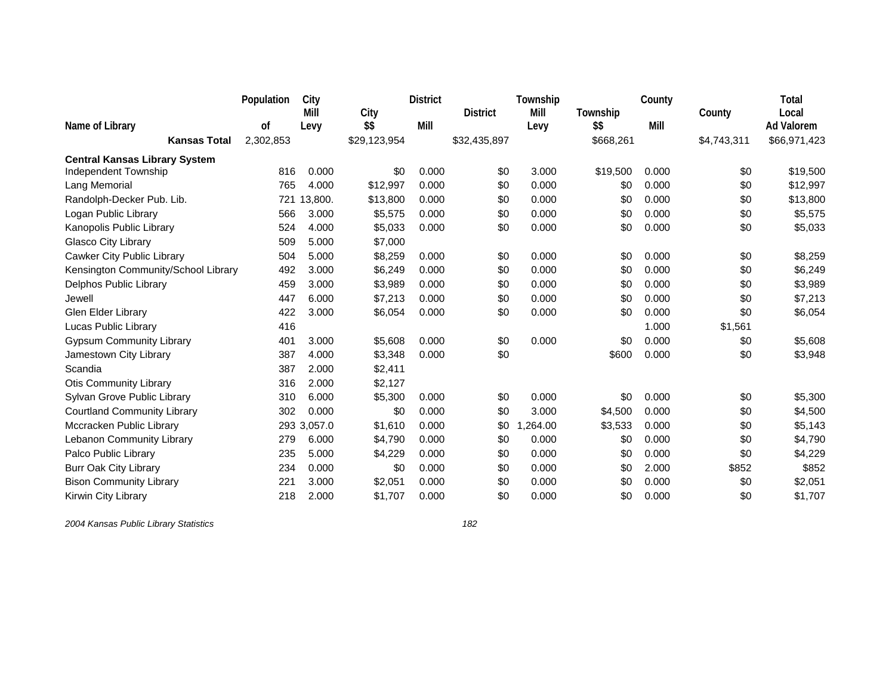|                                      | Population | City        |              | <b>District</b> |                 | Township |           | County |             | Total             |
|--------------------------------------|------------|-------------|--------------|-----------------|-----------------|----------|-----------|--------|-------------|-------------------|
|                                      |            | Mill        | City         |                 | <b>District</b> | Mill     | Township  |        | County      | Local             |
| Name of Library                      | 0f         | Levy        | \$\$         | Mill            |                 | Levy     | \$\$      | Mill   |             | <b>Ad Valorem</b> |
| <b>Kansas Total</b>                  | 2,302,853  |             | \$29,123,954 |                 | \$32,435,897    |          | \$668,261 |        | \$4,743,311 | \$66,971,423      |
| <b>Central Kansas Library System</b> |            |             |              |                 |                 |          |           |        |             |                   |
| Independent Township                 | 816        | 0.000       | \$0          | 0.000           | \$0             | 3.000    | \$19,500  | 0.000  | \$0         | \$19,500          |
| Lang Memorial                        | 765        | 4.000       | \$12,997     | 0.000           | \$0             | 0.000    | \$0       | 0.000  | \$0         | \$12,997          |
| Randolph-Decker Pub. Lib.            | 721        | 13,800.     | \$13,800     | 0.000           | \$0             | 0.000    | \$0       | 0.000  | \$0         | \$13,800          |
| Logan Public Library                 | 566        | 3.000       | \$5,575      | 0.000           | \$0             | 0.000    | \$0       | 0.000  | \$0         | \$5,575           |
| Kanopolis Public Library             | 524        | 4.000       | \$5,033      | 0.000           | \$0             | 0.000    | \$0       | 0.000  | \$0         | \$5,033           |
| Glasco City Library                  | 509        | 5.000       | \$7,000      |                 |                 |          |           |        |             |                   |
| Cawker City Public Library           | 504        | 5.000       | \$8,259      | 0.000           | \$0             | 0.000    | \$0       | 0.000  | \$0         | \$8,259           |
| Kensington Community/School Library  | 492        | 3.000       | \$6,249      | 0.000           | \$0             | 0.000    | \$0       | 0.000  | \$0         | \$6,249           |
| Delphos Public Library               | 459        | 3.000       | \$3,989      | 0.000           | \$0             | 0.000    | \$0       | 0.000  | \$0         | \$3,989           |
| Jewell                               | 447        | 6.000       | \$7,213      | 0.000           | \$0             | 0.000    | \$0       | 0.000  | \$0         | \$7,213           |
| Glen Elder Library                   | 422        | 3.000       | \$6,054      | 0.000           | \$0             | 0.000    | \$0       | 0.000  | \$0         | \$6,054           |
| Lucas Public Library                 | 416        |             |              |                 |                 |          |           | 1.000  | \$1,561     |                   |
| <b>Gypsum Community Library</b>      | 401        | 3.000       | \$5,608      | 0.000           | \$0             | 0.000    | \$0       | 0.000  | \$0         | \$5,608           |
| Jamestown City Library               | 387        | 4.000       | \$3,348      | 0.000           | \$0             |          | \$600     | 0.000  | \$0         | \$3,948           |
| Scandia                              | 387        | 2.000       | \$2,411      |                 |                 |          |           |        |             |                   |
| <b>Otis Community Library</b>        | 316        | 2.000       | \$2,127      |                 |                 |          |           |        |             |                   |
| Sylvan Grove Public Library          | 310        | 6.000       | \$5,300      | 0.000           | \$0             | 0.000    | \$0       | 0.000  | \$0         | \$5,300           |
| <b>Courtland Community Library</b>   | 302        | 0.000       | \$0          | 0.000           | \$0             | 3.000    | \$4,500   | 0.000  | \$0         | \$4,500           |
| Mccracken Public Library             |            | 293 3,057.0 | \$1,610      | 0.000           | \$0             | ,264.00  | \$3,533   | 0.000  | \$0         | \$5,143           |
| Lebanon Community Library            | 279        | 6.000       | \$4,790      | 0.000           | \$0             | 0.000    | \$0       | 0.000  | \$0         | \$4,790           |
| Palco Public Library                 | 235        | 5.000       | \$4,229      | 0.000           | \$0             | 0.000    | \$0       | 0.000  | \$0         | \$4,229           |
| <b>Burr Oak City Library</b>         | 234        | 0.000       | \$0          | 0.000           | \$0             | 0.000    | \$0       | 2.000  | \$852       | \$852             |
| <b>Bison Community Library</b>       | 221        | 3.000       | \$2,051      | 0.000           | \$0             | 0.000    | \$0       | 0.000  | \$0         | \$2,051           |
| Kirwin City Library                  | 218        | 2.000       | \$1,707      | 0.000           | \$0             | 0.000    | \$0       | 0.000  | \$0         | \$1,707           |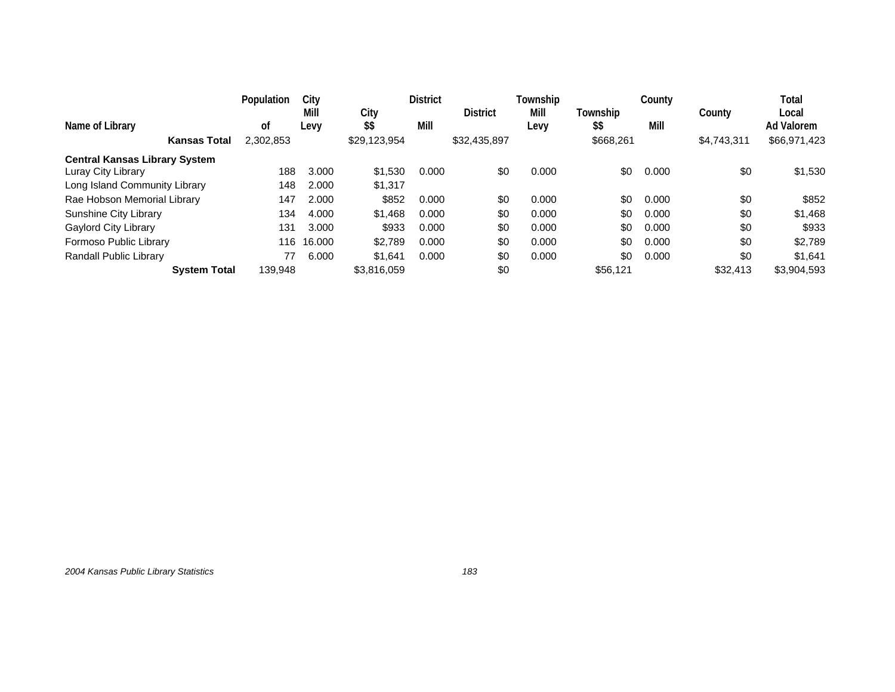|                                      | Population | City         |              | <b>District</b> |                 | Township     |                  | County |             | Total               |
|--------------------------------------|------------|--------------|--------------|-----------------|-----------------|--------------|------------------|--------|-------------|---------------------|
| Name of Library                      | οt         | Mill<br>Levy | City<br>\$\$ | Mill            | <b>District</b> | Mill<br>Levy | Township<br>\$\$ | Mill   | County      | Local<br>Ad Valorem |
| <b>Kansas Total</b>                  | 2,302,853  |              | \$29,123,954 |                 | \$32,435,897    |              | \$668,261        |        | \$4,743,311 | \$66,971,423        |
| <b>Central Kansas Library System</b> |            |              |              |                 |                 |              |                  |        |             |                     |
| Luray City Library                   | 188        | 3.000        | \$1,530      | 0.000           | \$0             | 0.000        | \$0              | 0.000  | \$0         | \$1,530             |
| Long Island Community Library        | 148        | 2.000        | \$1,317      |                 |                 |              |                  |        |             |                     |
| Rae Hobson Memorial Library          | 147        | 2.000        | \$852        | 0.000           | \$0             | 0.000        | \$0              | 0.000  | \$0         | \$852               |
| Sunshine City Library                | 134        | 4.000        | \$1.468      | 0.000           | \$0             | 0.000        | \$0              | 0.000  | \$0         | \$1,468             |
| <b>Gaylord City Library</b>          | 131        | 3.000        | \$933        | 0.000           | \$0             | 0.000        | \$0              | 0.000  | \$0         | \$933               |
| Formoso Public Library               | 116        | 16.000       | \$2,789      | 0.000           | \$0             | 0.000        | \$0              | 0.000  | \$0         | \$2,789             |
| Randall Public Library               | 77         | 6.000        | \$1.641      | 0.000           | \$0             | 0.000        | \$0              | 0.000  | \$0         | \$1,641             |
| <b>System Total</b>                  | 139.948    |              | \$3.816.059  |                 | \$0             |              | \$56.121         |        | \$32,413    | \$3,904,593         |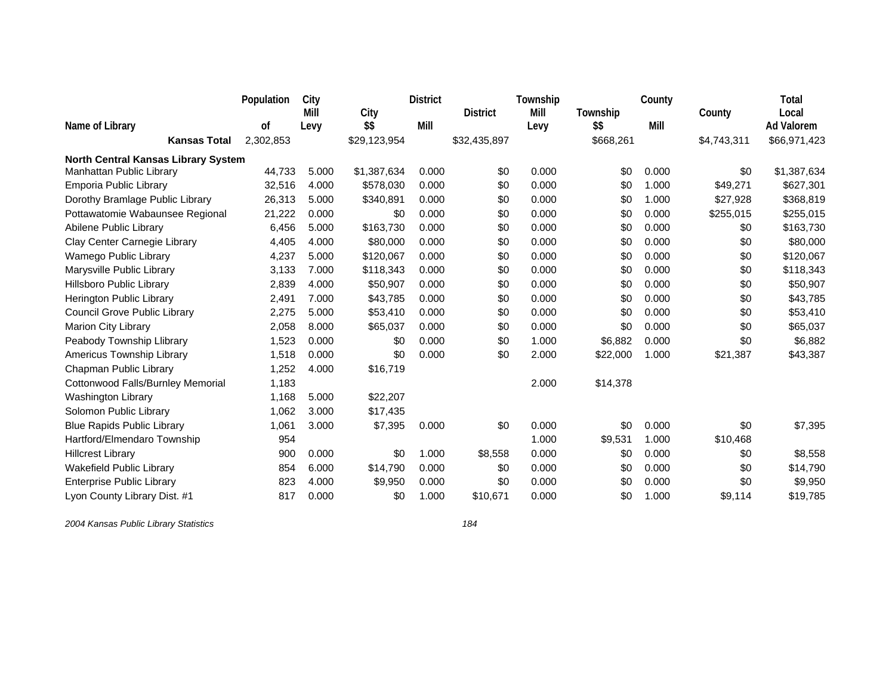|                                            | Population | City  |              | <b>District</b> |                 | Township |           | County |             | Total             |
|--------------------------------------------|------------|-------|--------------|-----------------|-----------------|----------|-----------|--------|-------------|-------------------|
|                                            |            | Mill  | City         |                 | <b>District</b> | Mill     | Township  |        | County      | Local             |
| Name of Library                            | 0f         | Levy  | \$\$         | Mill            |                 | Levy     | \$\$      | Mill   |             | <b>Ad Valorem</b> |
| <b>Kansas Total</b>                        | 2,302,853  |       | \$29,123,954 |                 | \$32,435,897    |          | \$668,261 |        | \$4,743,311 | \$66,971,423      |
| <b>North Central Kansas Library System</b> |            |       |              |                 |                 |          |           |        |             |                   |
| Manhattan Public Library                   | 44,733     | 5.000 | \$1,387,634  | 0.000           | \$0             | 0.000    | \$0       | 0.000  | \$0         | \$1,387,634       |
| Emporia Public Library                     | 32,516     | 4.000 | \$578,030    | 0.000           | \$0             | 0.000    | \$0       | 1.000  | \$49,271    | \$627,301         |
| Dorothy Bramlage Public Library            | 26,313     | 5.000 | \$340,891    | 0.000           | \$0             | 0.000    | \$0       | 1.000  | \$27,928    | \$368,819         |
| Pottawatomie Wabaunsee Regional            | 21,222     | 0.000 | \$0          | 0.000           | \$0             | 0.000    | \$0       | 0.000  | \$255,015   | \$255,015         |
| Abilene Public Library                     | 6,456      | 5.000 | \$163,730    | 0.000           | \$0             | 0.000    | \$0       | 0.000  | \$0         | \$163,730         |
| Clay Center Carnegie Library               | 4,405      | 4.000 | \$80,000     | 0.000           | \$0             | 0.000    | \$0       | 0.000  | \$0         | \$80,000          |
| Wamego Public Library                      | 4,237      | 5.000 | \$120,067    | 0.000           | \$0             | 0.000    | \$0       | 0.000  | \$0         | \$120,067         |
| Marysville Public Library                  | 3,133      | 7.000 | \$118,343    | 0.000           | \$0             | 0.000    | \$0       | 0.000  | \$0         | \$118,343         |
| Hillsboro Public Library                   | 2,839      | 4.000 | \$50,907     | 0.000           | \$0             | 0.000    | \$0       | 0.000  | \$0         | \$50,907          |
| Herington Public Library                   | 2,491      | 7.000 | \$43,785     | 0.000           | \$0             | 0.000    | \$0       | 0.000  | \$0         | \$43,785          |
| Council Grove Public Library               | 2,275      | 5.000 | \$53,410     | 0.000           | \$0             | 0.000    | \$0       | 0.000  | \$0         | \$53,410          |
| Marion City Library                        | 2,058      | 8.000 | \$65,037     | 0.000           | \$0             | 0.000    | \$0       | 0.000  | \$0         | \$65,037          |
| Peabody Township Llibrary                  | 1,523      | 0.000 | \$0          | 0.000           | \$0             | 1.000    | \$6,882   | 0.000  | \$0         | \$6,882           |
| Americus Township Library                  | 1,518      | 0.000 | \$0          | 0.000           | \$0             | 2.000    | \$22,000  | 1.000  | \$21,387    | \$43,387          |
| Chapman Public Library                     | 1,252      | 4.000 | \$16,719     |                 |                 |          |           |        |             |                   |
| Cottonwood Falls/Burnley Memorial          | 1,183      |       |              |                 |                 | 2.000    | \$14,378  |        |             |                   |
| Washington Library                         | 1,168      | 5.000 | \$22,207     |                 |                 |          |           |        |             |                   |
| Solomon Public Library                     | 1,062      | 3.000 | \$17,435     |                 |                 |          |           |        |             |                   |
| <b>Blue Rapids Public Library</b>          | 1,061      | 3.000 | \$7,395      | 0.000           | \$0             | 0.000    | \$0       | 0.000  | \$0         | \$7,395           |
| Hartford/Elmendaro Township                | 954        |       |              |                 |                 | 1.000    | \$9,531   | 1.000  | \$10,468    |                   |
| <b>Hillcrest Library</b>                   | 900        | 0.000 | \$0          | 1.000           | \$8,558         | 0.000    | \$0       | 0.000  | \$0         | \$8,558           |
| Wakefield Public Library                   | 854        | 6.000 | \$14,790     | 0.000           | \$0             | 0.000    | \$0       | 0.000  | \$0         | \$14,790          |
| <b>Enterprise Public Library</b>           | 823        | 4.000 | \$9,950      | 0.000           | \$0             | 0.000    | \$0       | 0.000  | \$0         | \$9,950           |
| Lyon County Library Dist. #1               | 817        | 0.000 | \$0          | 1.000           | \$10,671        | 0.000    | \$0       | 1.000  | \$9,114     | \$19,785          |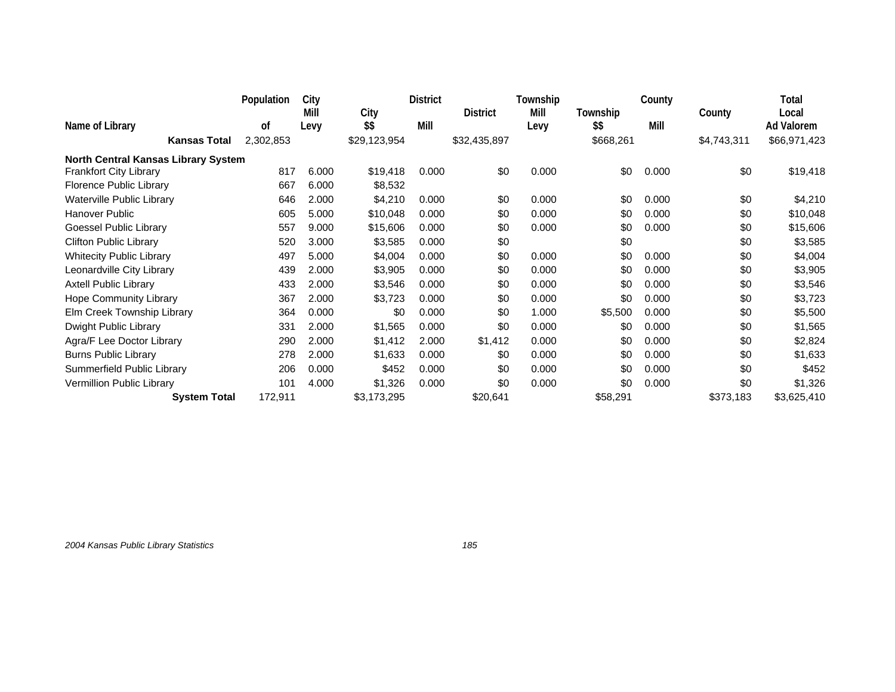|                                            | Population | City  |              | <b>District</b> |                 | Township |           | County |             | Total             |
|--------------------------------------------|------------|-------|--------------|-----------------|-----------------|----------|-----------|--------|-------------|-------------------|
|                                            |            | Mill  | City         |                 | <b>District</b> | Mill     | Township  |        | County      | Local             |
| Name of Library                            | 0f         | Levy  | \$\$         | Mill            |                 | Levy     | \$\$      | Mill   |             | <b>Ad Valorem</b> |
| <b>Kansas Total</b>                        | 2,302,853  |       | \$29,123,954 |                 | \$32,435,897    |          | \$668,261 |        | \$4,743,311 | \$66,971,423      |
| <b>North Central Kansas Library System</b> |            |       |              |                 |                 |          |           |        |             |                   |
| <b>Frankfort City Library</b>              | 817        | 6.000 | \$19,418     | 0.000           | \$0             | 0.000    | \$0       | 0.000  | \$0         | \$19,418          |
| Florence Public Library                    | 667        | 6.000 | \$8,532      |                 |                 |          |           |        |             |                   |
| Waterville Public Library                  | 646        | 2.000 | \$4,210      | 0.000           | \$0             | 0.000    | \$0       | 0.000  | \$0         | \$4,210           |
| <b>Hanover Public</b>                      | 605        | 5.000 | \$10,048     | 0.000           | \$0             | 0.000    | \$0       | 0.000  | \$0         | \$10,048          |
| Goessel Public Library                     | 557        | 9.000 | \$15,606     | 0.000           | \$0             | 0.000    | \$0       | 0.000  | \$0         | \$15,606          |
| <b>Clifton Public Library</b>              | 520        | 3.000 | \$3,585      | 0.000           | \$0             |          | \$0       |        | \$0         | \$3,585           |
| <b>Whitecity Public Library</b>            | 497        | 5.000 | \$4,004      | 0.000           | \$0             | 0.000    | \$0       | 0.000  | \$0         | \$4,004           |
| Leonardville City Library                  | 439        | 2.000 | \$3,905      | 0.000           | \$0             | 0.000    | \$0       | 0.000  | \$0         | \$3,905           |
| <b>Axtell Public Library</b>               | 433        | 2.000 | \$3,546      | 0.000           | \$0             | 0.000    | \$0       | 0.000  | \$0         | \$3,546           |
| Hope Community Library                     | 367        | 2.000 | \$3,723      | 0.000           | \$0             | 0.000    | \$0       | 0.000  | \$0         | \$3,723           |
| Elm Creek Township Library                 | 364        | 0.000 | \$0          | 0.000           | \$0             | 1.000    | \$5,500   | 0.000  | \$0         | \$5,500           |
| Dwight Public Library                      | 331        | 2.000 | \$1,565      | 0.000           | \$0             | 0.000    | \$0       | 0.000  | \$0         | \$1,565           |
| Agra/F Lee Doctor Library                  | 290        | 2.000 | \$1,412      | 2.000           | \$1,412         | 0.000    | \$0       | 0.000  | \$0         | \$2,824           |
| <b>Burns Public Library</b>                | 278        | 2.000 | \$1,633      | 0.000           | \$0             | 0.000    | \$0       | 0.000  | \$0         | \$1,633           |
| Summerfield Public Library                 | 206        | 0.000 | \$452        | 0.000           | \$0             | 0.000    | \$0       | 0.000  | \$0         | \$452             |
| Vermillion Public Library                  | 101        | 4.000 | \$1,326      | 0.000           | \$0             | 0.000    | \$0       | 0.000  | \$0         | \$1,326           |
| <b>System Total</b>                        | 172,911    |       | \$3,173,295  |                 | \$20,641        |          | \$58,291  |        | \$373,183   | \$3,625,410       |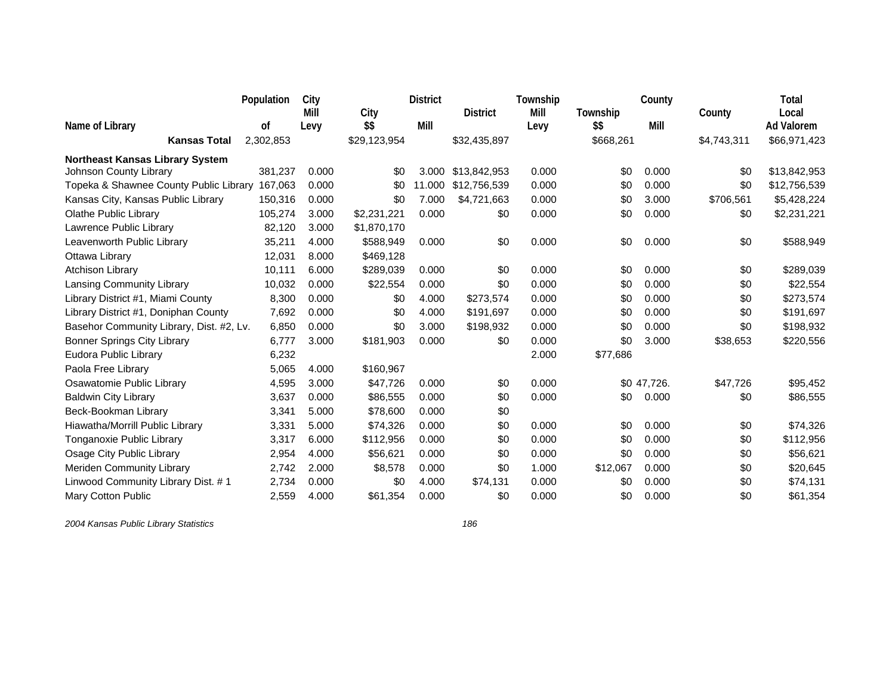|                                          | Population | City  |              | <b>District</b> |                 | Township |           | County      |             | Total             |
|------------------------------------------|------------|-------|--------------|-----------------|-----------------|----------|-----------|-------------|-------------|-------------------|
|                                          |            | Mill  | City         |                 | <b>District</b> | Mill     | Township  |             | County      | Local             |
| Name of Library                          | οf         | Levy  | \$\$         | Mill            |                 | Levy     | \$\$      | Mill        |             | <b>Ad Valorem</b> |
| <b>Kansas Total</b>                      | 2,302,853  |       | \$29,123,954 |                 | \$32,435,897    |          | \$668,261 |             | \$4,743,311 | \$66,971,423      |
| <b>Northeast Kansas Library System</b>   |            |       |              |                 |                 |          |           |             |             |                   |
| Johnson County Library                   | 381,237    | 0.000 | \$0          | 3.000           | \$13,842,953    | 0.000    | \$0       | 0.000       | \$0         | \$13,842,953      |
| Topeka & Shawnee County Public Library   | 167,063    | 0.000 | \$0          | 11.000          | \$12,756,539    | 0.000    | \$0       | 0.000       | \$0         | \$12,756,539      |
| Kansas City, Kansas Public Library       | 150,316    | 0.000 | \$0          | 7.000           | \$4,721,663     | 0.000    | \$0       | 3.000       | \$706,561   | \$5,428,224       |
| Olathe Public Library                    | 105,274    | 3.000 | \$2,231,221  | 0.000           | \$0             | 0.000    | \$0       | 0.000       | \$0         | \$2,231,221       |
| Lawrence Public Library                  | 82,120     | 3.000 | \$1,870,170  |                 |                 |          |           |             |             |                   |
| Leavenworth Public Library               | 35,211     | 4.000 | \$588,949    | 0.000           | \$0             | 0.000    | \$0       | 0.000       | \$0         | \$588,949         |
| Ottawa Library                           | 12,031     | 8.000 | \$469,128    |                 |                 |          |           |             |             |                   |
| <b>Atchison Library</b>                  | 10,111     | 6.000 | \$289,039    | 0.000           | \$0             | 0.000    | \$0       | 0.000       | \$0         | \$289,039         |
| Lansing Community Library                | 10,032     | 0.000 | \$22,554     | 0.000           | \$0             | 0.000    | \$0       | 0.000       | \$0         | \$22,554          |
| Library District #1, Miami County        | 8,300      | 0.000 | \$0          | 4.000           | \$273,574       | 0.000    | \$0       | 0.000       | \$0         | \$273,574         |
| Library District #1, Doniphan County     | 7,692      | 0.000 | \$0          | 4.000           | \$191,697       | 0.000    | \$0       | 0.000       | \$0         | \$191,697         |
| Basehor Community Library, Dist. #2, Lv. | 6,850      | 0.000 | \$0          | 3.000           | \$198,932       | 0.000    | \$0       | 0.000       | \$0         | \$198,932         |
| <b>Bonner Springs City Library</b>       | 6,777      | 3.000 | \$181,903    | 0.000           | \$0             | 0.000    | \$0       | 3.000       | \$38,653    | \$220,556         |
| Eudora Public Library                    | 6,232      |       |              |                 |                 | 2.000    | \$77,686  |             |             |                   |
| Paola Free Library                       | 5,065      | 4.000 | \$160,967    |                 |                 |          |           |             |             |                   |
| Osawatomie Public Library                | 4,595      | 3.000 | \$47,726     | 0.000           | \$0             | 0.000    |           | \$0 47,726. | \$47,726    | \$95,452          |
| <b>Baldwin City Library</b>              | 3,637      | 0.000 | \$86,555     | 0.000           | \$0             | 0.000    | \$0       | 0.000       | \$0         | \$86,555          |
| Beck-Bookman Library                     | 3,341      | 5.000 | \$78,600     | 0.000           | \$0             |          |           |             |             |                   |
| Hiawatha/Morrill Public Library          | 3,331      | 5.000 | \$74,326     | 0.000           | \$0             | 0.000    | \$0       | 0.000       | \$0         | \$74,326          |
| Tonganoxie Public Library                | 3,317      | 6.000 | \$112,956    | 0.000           | \$0             | 0.000    | \$0       | 0.000       | \$0         | \$112,956         |
| Osage City Public Library                | 2,954      | 4.000 | \$56,621     | 0.000           | \$0             | 0.000    | \$0       | 0.000       | \$0         | \$56,621          |
| Meriden Community Library                | 2,742      | 2.000 | \$8,578      | 0.000           | \$0             | 1.000    | \$12,067  | 0.000       | \$0         | \$20,645          |
| Linwood Community Library Dist. # 1      | 2,734      | 0.000 | \$0          | 4.000           | \$74,131        | 0.000    | \$0       | 0.000       | \$0         | \$74,131          |
| Mary Cotton Public                       | 2,559      | 4.000 | \$61,354     | 0.000           | \$0             | 0.000    | \$0       | 0.000       | \$0         | \$61,354          |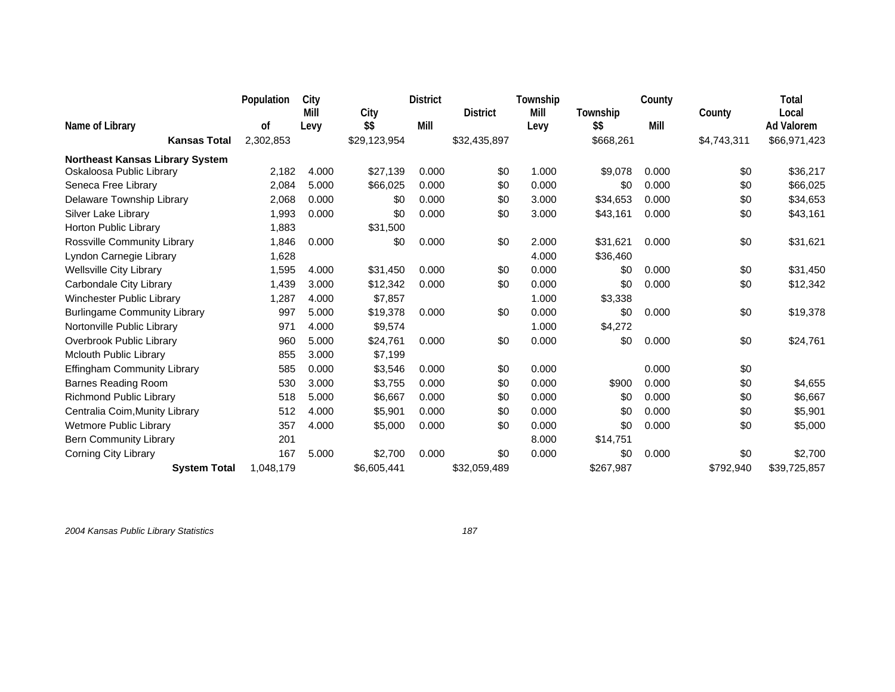|                                        | Population | City  |              | <b>District</b> |                 | Township |           | County |             | Total             |
|----------------------------------------|------------|-------|--------------|-----------------|-----------------|----------|-----------|--------|-------------|-------------------|
|                                        |            | Mill  | City         |                 | <b>District</b> | Mill     | Township  |        | County      | Local             |
| Name of Library                        | 0f         | Levy  | \$\$         | Mill            |                 | Levy     | \$\$      | Mill   |             | <b>Ad Valorem</b> |
| <b>Kansas Total</b>                    | 2,302,853  |       | \$29,123,954 |                 | \$32,435,897    |          | \$668,261 |        | \$4,743,311 | \$66,971,423      |
| <b>Northeast Kansas Library System</b> |            |       |              |                 |                 |          |           |        |             |                   |
| Oskaloosa Public Library               | 2,182      | 4.000 | \$27,139     | 0.000           | \$0             | 1.000    | \$9,078   | 0.000  | \$0         | \$36,217          |
| Seneca Free Library                    | 2,084      | 5.000 | \$66,025     | 0.000           | \$0             | 0.000    | \$0       | 0.000  | \$0         | \$66,025          |
| Delaware Township Library              | 2,068      | 0.000 | \$0          | 0.000           | \$0             | 3.000    | \$34,653  | 0.000  | \$0         | \$34,653          |
| Silver Lake Library                    | 1,993      | 0.000 | \$0          | 0.000           | \$0             | 3.000    | \$43,161  | 0.000  | \$0         | \$43,161          |
| Horton Public Library                  | 1,883      |       | \$31,500     |                 |                 |          |           |        |             |                   |
| Rossville Community Library            | 1,846      | 0.000 | \$0          | 0.000           | \$0             | 2.000    | \$31,621  | 0.000  | \$0         | \$31,621          |
| Lyndon Carnegie Library                | 1,628      |       |              |                 |                 | 4.000    | \$36,460  |        |             |                   |
| <b>Wellsville City Library</b>         | 1,595      | 4.000 | \$31,450     | 0.000           | \$0             | 0.000    | \$0       | 0.000  | \$0         | \$31,450          |
| Carbondale City Library                | 1,439      | 3.000 | \$12,342     | 0.000           | \$0             | 0.000    | \$0       | 0.000  | \$0         | \$12,342          |
| Winchester Public Library              | 1,287      | 4.000 | \$7,857      |                 |                 | 1.000    | \$3,338   |        |             |                   |
| <b>Burlingame Community Library</b>    | 997        | 5.000 | \$19,378     | 0.000           | \$0             | 0.000    | \$0       | 0.000  | \$0         | \$19,378          |
| Nortonville Public Library             | 971        | 4.000 | \$9,574      |                 |                 | 1.000    | \$4,272   |        |             |                   |
| Overbrook Public Library               | 960        | 5.000 | \$24,761     | 0.000           | \$0             | 0.000    | \$0       | 0.000  | \$0         | \$24,761          |
| <b>Mclouth Public Library</b>          | 855        | 3.000 | \$7,199      |                 |                 |          |           |        |             |                   |
| <b>Effingham Community Library</b>     | 585        | 0.000 | \$3,546      | 0.000           | \$0             | 0.000    |           | 0.000  | \$0         |                   |
| <b>Barnes Reading Room</b>             | 530        | 3.000 | \$3,755      | 0.000           | \$0             | 0.000    | \$900     | 0.000  | \$0         | \$4,655           |
| Richmond Public Library                | 518        | 5.000 | \$6,667      | 0.000           | \$0             | 0.000    | \$0       | 0.000  | \$0         | \$6,667           |
| Centralia Coim, Munity Library         | 512        | 4.000 | \$5,901      | 0.000           | \$0             | 0.000    | \$0       | 0.000  | \$0         | \$5,901           |
| <b>Wetmore Public Library</b>          | 357        | 4.000 | \$5,000      | 0.000           | \$0             | 0.000    | \$0       | 0.000  | \$0         | \$5,000           |
| <b>Bern Community Library</b>          | 201        |       |              |                 |                 | 8.000    | \$14,751  |        |             |                   |
| <b>Corning City Library</b>            | 167        | 5.000 | \$2,700      | 0.000           | \$0             | 0.000    | \$0       | 0.000  | \$0         | \$2,700           |
| <b>System Total</b>                    | 1,048,179  |       | \$6,605,441  |                 | \$32,059,489    |          | \$267,987 |        | \$792,940   | \$39,725,857      |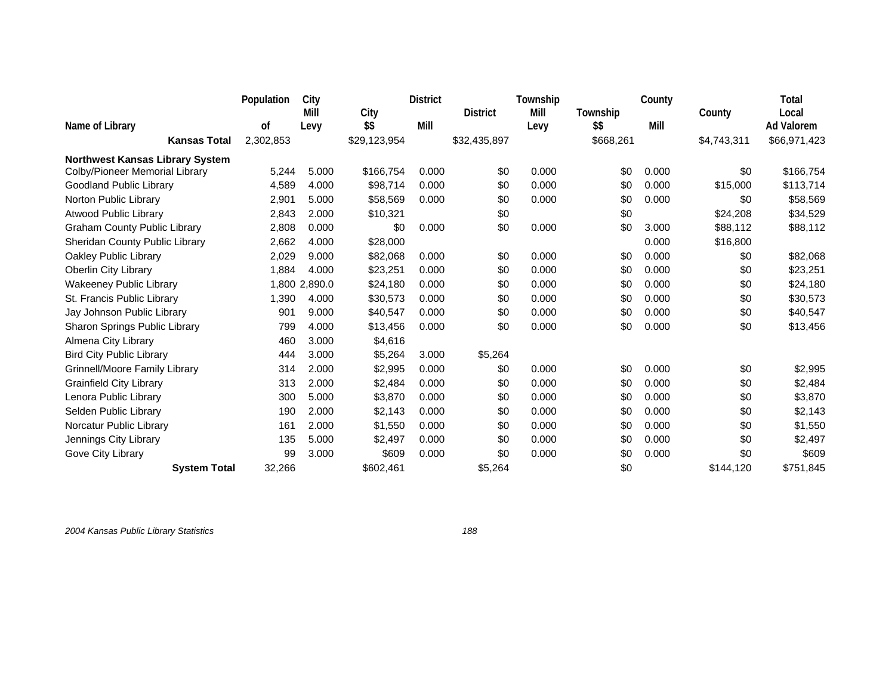|                                        | Population | City          |              | <b>District</b> |                 | Township |           | County |             | Total             |
|----------------------------------------|------------|---------------|--------------|-----------------|-----------------|----------|-----------|--------|-------------|-------------------|
|                                        |            | Mill          | City         |                 | <b>District</b> | Mill     | Township  |        | County      | Local             |
| Name of Library                        | 0f         | Levy          | \$\$         | Mill            |                 | Levy     | \$\$      | Mill   |             | <b>Ad Valorem</b> |
| <b>Kansas Total</b>                    | 2,302,853  |               | \$29,123,954 |                 | \$32,435,897    |          | \$668,261 |        | \$4,743,311 | \$66,971,423      |
| <b>Northwest Kansas Library System</b> |            |               |              |                 |                 |          |           |        |             |                   |
| Colby/Pioneer Memorial Library         | 5,244      | 5.000         | \$166,754    | 0.000           | \$0             | 0.000    | \$0       | 0.000  | \$0         | \$166,754         |
| Goodland Public Library                | 4,589      | 4.000         | \$98,714     | 0.000           | \$0             | 0.000    | \$0       | 0.000  | \$15,000    | \$113,714         |
| Norton Public Library                  | 2,901      | 5.000         | \$58,569     | 0.000           | \$0             | 0.000    | \$0       | 0.000  | \$0         | \$58,569          |
| <b>Atwood Public Library</b>           | 2,843      | 2.000         | \$10,321     |                 | \$0             |          | \$0       |        | \$24,208    | \$34,529          |
| <b>Graham County Public Library</b>    | 2,808      | 0.000         | \$0          | 0.000           | \$0             | 0.000    | \$0       | 3.000  | \$88,112    | \$88,112          |
| Sheridan County Public Library         | 2,662      | 4.000         | \$28,000     |                 |                 |          |           | 0.000  | \$16,800    |                   |
| Oakley Public Library                  | 2,029      | 9.000         | \$82,068     | 0.000           | \$0             | 0.000    | \$0       | 0.000  | \$0         | \$82,068          |
| Oberlin City Library                   | 1,884      | 4.000         | \$23,251     | 0.000           | \$0             | 0.000    | \$0       | 0.000  | \$0         | \$23,251          |
| <b>Wakeeney Public Library</b>         |            | 1,800 2,890.0 | \$24,180     | 0.000           | \$0             | 0.000    | \$0       | 0.000  | \$0         | \$24,180          |
| St. Francis Public Library             | 1,390      | 4.000         | \$30,573     | 0.000           | \$0             | 0.000    | \$0       | 0.000  | \$0         | \$30,573          |
| Jay Johnson Public Library             | 901        | 9.000         | \$40,547     | 0.000           | \$0             | 0.000    | \$0       | 0.000  | \$0         | \$40,547          |
| Sharon Springs Public Library          | 799        | 4.000         | \$13,456     | 0.000           | \$0             | 0.000    | \$0       | 0.000  | \$0         | \$13,456          |
| Almena City Library                    | 460        | 3.000         | \$4,616      |                 |                 |          |           |        |             |                   |
| <b>Bird City Public Library</b>        | 444        | 3.000         | \$5,264      | 3.000           | \$5,264         |          |           |        |             |                   |
| Grinnell/Moore Family Library          | 314        | 2.000         | \$2,995      | 0.000           | \$0             | 0.000    | \$0       | 0.000  | \$0         | \$2,995           |
| <b>Grainfield City Library</b>         | 313        | 2.000         | \$2,484      | 0.000           | \$0             | 0.000    | \$0       | 0.000  | \$0         | \$2,484           |
| Lenora Public Library                  | 300        | 5.000         | \$3,870      | 0.000           | \$0             | 0.000    | \$0       | 0.000  | \$0         | \$3,870           |
| Selden Public Library                  | 190        | 2.000         | \$2,143      | 0.000           | \$0             | 0.000    | \$0       | 0.000  | \$0         | \$2,143           |
| Norcatur Public Library                | 161        | 2.000         | \$1,550      | 0.000           | \$0             | 0.000    | \$0       | 0.000  | \$0         | \$1,550           |
| Jennings City Library                  | 135        | 5.000         | \$2,497      | 0.000           | \$0             | 0.000    | \$0       | 0.000  | \$0         | \$2,497           |
| Gove City Library                      | 99         | 3.000         | \$609        | 0.000           | \$0             | 0.000    | \$0       | 0.000  | \$0         | \$609             |
| <b>System Total</b>                    | 32,266     |               | \$602,461    |                 | \$5,264         |          | \$0       |        | \$144,120   | \$751,845         |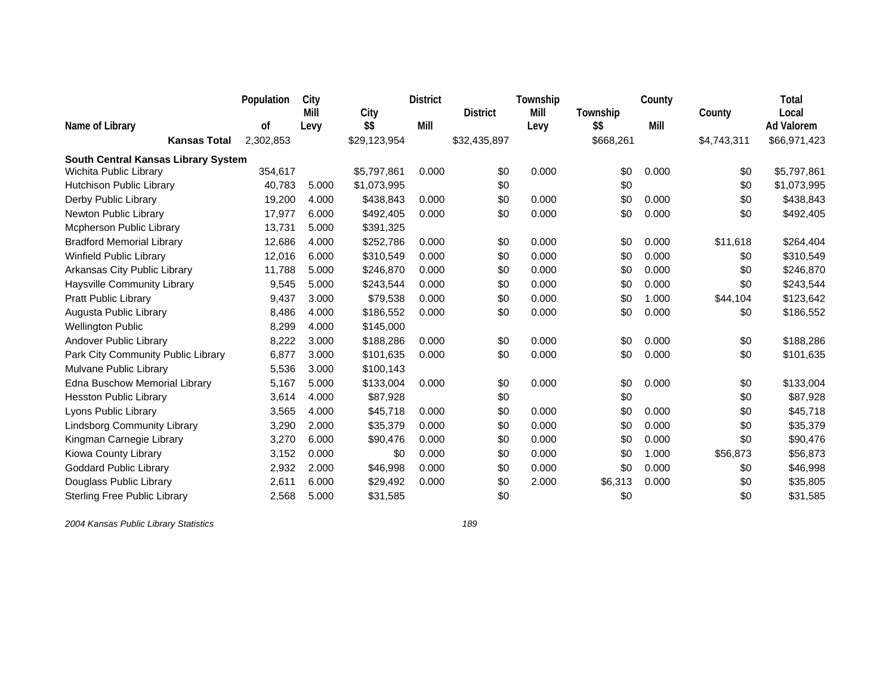|                                     | Population | City  |              | <b>District</b> |                 | Township |           | County |             | Total             |
|-------------------------------------|------------|-------|--------------|-----------------|-----------------|----------|-----------|--------|-------------|-------------------|
|                                     |            | Mill  | City         |                 | <b>District</b> | Mill     | Township  |        | County      | Local             |
| Name of Library                     | 0f         | Levy  | \$\$         | Mill            |                 | Levy     | \$\$      | Mill   |             | <b>Ad Valorem</b> |
| <b>Kansas Total</b>                 | 2,302,853  |       | \$29,123,954 |                 | \$32,435,897    |          | \$668,261 |        | \$4,743,311 | \$66,971,423      |
| South Central Kansas Library System |            |       |              |                 |                 |          |           |        |             |                   |
| Wichita Public Library              | 354,617    |       | \$5,797,861  | 0.000           | \$0             | 0.000    | \$0       | 0.000  | \$0         | \$5,797,861       |
| Hutchison Public Library            | 40,783     | 5.000 | \$1,073,995  |                 | \$0             |          | \$0       |        | \$0         | \$1,073,995       |
| Derby Public Library                | 19,200     | 4.000 | \$438,843    | 0.000           | \$0             | 0.000    | \$0       | 0.000  | \$0         | \$438,843         |
| Newton Public Library               | 17,977     | 6.000 | \$492,405    | 0.000           | \$0             | 0.000    | \$0       | 0.000  | \$0         | \$492,405         |
| Mcpherson Public Library            | 13,731     | 5.000 | \$391,325    |                 |                 |          |           |        |             |                   |
| <b>Bradford Memorial Library</b>    | 12,686     | 4.000 | \$252,786    | 0.000           | \$0             | 0.000    | \$0       | 0.000  | \$11,618    | \$264,404         |
| <b>Winfield Public Library</b>      | 12,016     | 6.000 | \$310,549    | 0.000           | \$0             | 0.000    | \$0       | 0.000  | \$0         | \$310,549         |
| Arkansas City Public Library        | 11,788     | 5.000 | \$246,870    | 0.000           | \$0             | 0.000    | \$0       | 0.000  | \$0         | \$246,870         |
| Haysville Community Library         | 9,545      | 5.000 | \$243,544    | 0.000           | \$0             | 0.000    | \$0       | 0.000  | \$0         | \$243,544         |
| Pratt Public Library                | 9,437      | 3.000 | \$79,538     | 0.000           | \$0             | 0.000    | \$0       | 1.000  | \$44,104    | \$123,642         |
| Augusta Public Library              | 8,486      | 4.000 | \$186,552    | 0.000           | \$0             | 0.000    | \$0       | 0.000  | \$0         | \$186,552         |
| <b>Wellington Public</b>            | 8,299      | 4.000 | \$145,000    |                 |                 |          |           |        |             |                   |
| Andover Public Library              | 8,222      | 3.000 | \$188,286    | 0.000           | \$0             | 0.000    | \$0       | 0.000  | \$0         | \$188,286         |
| Park City Community Public Library  | 6,877      | 3.000 | \$101,635    | 0.000           | \$0             | 0.000    | \$0       | 0.000  | \$0         | \$101,635         |
| Mulvane Public Library              | 5,536      | 3.000 | \$100,143    |                 |                 |          |           |        |             |                   |
| Edna Buschow Memorial Library       | 5,167      | 5.000 | \$133,004    | 0.000           | \$0             | 0.000    | \$0       | 0.000  | \$0         | \$133,004         |
| <b>Hesston Public Library</b>       | 3,614      | 4.000 | \$87,928     |                 | \$0             |          | \$0       |        | \$0         | \$87,928          |
| Lyons Public Library                | 3,565      | 4.000 | \$45,718     | 0.000           | \$0             | 0.000    | \$0       | 0.000  | \$0         | \$45,718          |
| <b>Lindsborg Community Library</b>  | 3,290      | 2.000 | \$35,379     | 0.000           | \$0             | 0.000    | \$0       | 0.000  | \$0         | \$35,379          |
| Kingman Carnegie Library            | 3,270      | 6.000 | \$90,476     | 0.000           | \$0             | 0.000    | \$0       | 0.000  | \$0         | \$90,476          |
| Kiowa County Library                | 3,152      | 0.000 | \$0          | 0.000           | \$0             | 0.000    | \$0       | 1.000  | \$56,873    | \$56,873          |
| <b>Goddard Public Library</b>       | 2,932      | 2.000 | \$46,998     | 0.000           | \$0             | 0.000    | \$0       | 0.000  | \$0         | \$46,998          |
| Douglass Public Library             | 2,611      | 6.000 | \$29,492     | 0.000           | \$0             | 2.000    | \$6,313   | 0.000  | \$0         | \$35,805          |
| <b>Sterling Free Public Library</b> | 2,568      | 5.000 | \$31,585     |                 | \$0             |          | \$0       |        | \$0         | \$31,585          |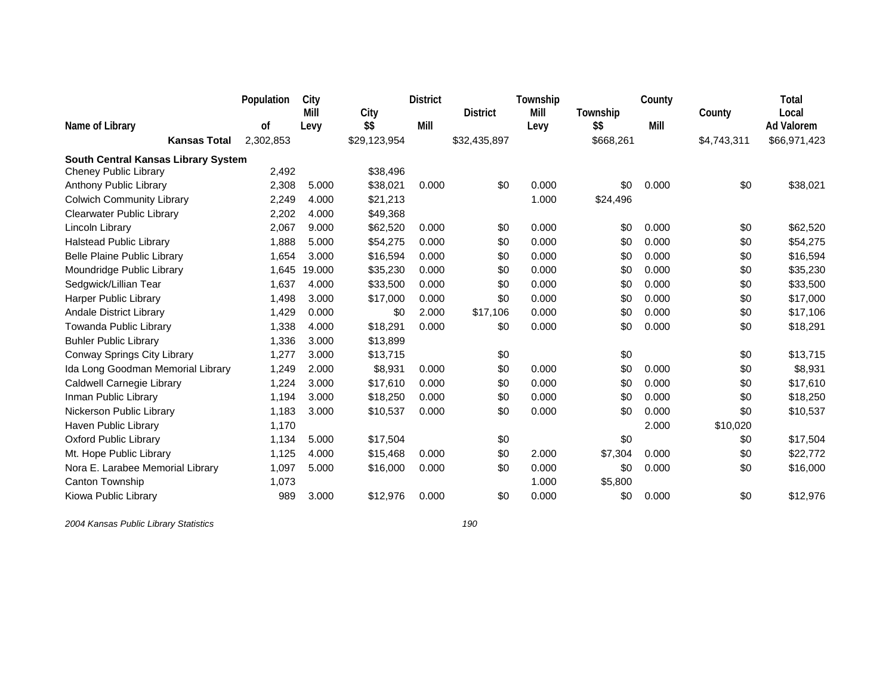|                                     | Population | City         |              | <b>District</b> |                 | Township     |                  | County |             | <b>Total</b>               |
|-------------------------------------|------------|--------------|--------------|-----------------|-----------------|--------------|------------------|--------|-------------|----------------------------|
| Name of Library                     | 0f         | Mill<br>Levy | City<br>\$\$ | Mill            | <b>District</b> | Mill<br>Levy | Township<br>\$\$ | Mill   | County      | Local<br><b>Ad Valorem</b> |
| <b>Kansas Total</b>                 | 2,302,853  |              | \$29,123,954 |                 | \$32,435,897    |              | \$668,261        |        | \$4,743,311 | \$66,971,423               |
| South Central Kansas Library System |            |              |              |                 |                 |              |                  |        |             |                            |
| Cheney Public Library               | 2,492      |              | \$38,496     |                 |                 |              |                  |        |             |                            |
| Anthony Public Library              | 2,308      | 5.000        | \$38,021     | 0.000           | \$0             | 0.000        | \$0              | 0.000  | \$0         | \$38,021                   |
| <b>Colwich Community Library</b>    | 2,249      | 4.000        | \$21,213     |                 |                 | 1.000        | \$24,496         |        |             |                            |
| <b>Clearwater Public Library</b>    | 2,202      | 4.000        | \$49,368     |                 |                 |              |                  |        |             |                            |
| Lincoln Library                     | 2,067      | 9.000        | \$62,520     | 0.000           | \$0             | 0.000        | \$0              | 0.000  | \$0         | \$62,520                   |
| <b>Halstead Public Library</b>      | 1,888      | 5.000        | \$54,275     | 0.000           | \$0             | 0.000        | \$0              | 0.000  | \$0         | \$54,275                   |
| <b>Belle Plaine Public Library</b>  | 1,654      | 3.000        | \$16,594     | 0.000           | \$0             | 0.000        | \$0              | 0.000  | \$0         | \$16,594                   |
| Moundridge Public Library           | 1,645      | 19.000       | \$35,230     | 0.000           | \$0             | 0.000        | \$0              | 0.000  | \$0         | \$35,230                   |
| Sedgwick/Lillian Tear               | 1,637      | 4.000        | \$33,500     | 0.000           | \$0             | 0.000        | \$0              | 0.000  | \$0         | \$33,500                   |
| <b>Harper Public Library</b>        | 1,498      | 3.000        | \$17,000     | 0.000           | \$0             | 0.000        | \$0              | 0.000  | \$0         | \$17,000                   |
| Andale District Library             | 1,429      | 0.000        | \$0          | 2.000           | \$17,106        | 0.000        | \$0              | 0.000  | \$0         | \$17,106                   |
| Towanda Public Library              | 1,338      | 4.000        | \$18,291     | 0.000           | \$0             | 0.000        | \$0              | 0.000  | \$0         | \$18,291                   |
| <b>Buhler Public Library</b>        | 1,336      | 3.000        | \$13,899     |                 |                 |              |                  |        |             |                            |
| Conway Springs City Library         | 1,277      | 3.000        | \$13,715     |                 | \$0             |              | \$0              |        | \$0         | \$13,715                   |
| Ida Long Goodman Memorial Library   | 1,249      | 2.000        | \$8,931      | 0.000           | \$0             | 0.000        | \$0              | 0.000  | \$0         | \$8,931                    |
| Caldwell Carnegie Library           | 1,224      | 3.000        | \$17,610     | 0.000           | \$0             | 0.000        | \$0              | 0.000  | \$0         | \$17,610                   |
| Inman Public Library                | 1,194      | 3.000        | \$18,250     | 0.000           | \$0             | 0.000        | \$0              | 0.000  | \$0         | \$18,250                   |
| Nickerson Public Library            | 1,183      | 3.000        | \$10,537     | 0.000           | \$0             | 0.000        | \$0              | 0.000  | \$0         | \$10,537                   |
| Haven Public Library                | 1,170      |              |              |                 |                 |              |                  | 2.000  | \$10,020    |                            |
| Oxford Public Library               | 1,134      | 5.000        | \$17,504     |                 | \$0             |              | \$0              |        | \$0         | \$17,504                   |
| Mt. Hope Public Library             | 1,125      | 4.000        | \$15,468     | 0.000           | \$0             | 2.000        | \$7,304          | 0.000  | \$0         | \$22,772                   |
| Nora E. Larabee Memorial Library    | 1,097      | 5.000        | \$16,000     | 0.000           | \$0             | 0.000        | \$0              | 0.000  | \$0         | \$16,000                   |
| Canton Township                     | 1,073      |              |              |                 |                 | 1.000        | \$5,800          |        |             |                            |
| Kiowa Public Library                | 989        | 3.000        | \$12,976     | 0.000           | \$0             | 0.000        | \$0              | 0.000  | \$0         | \$12,976                   |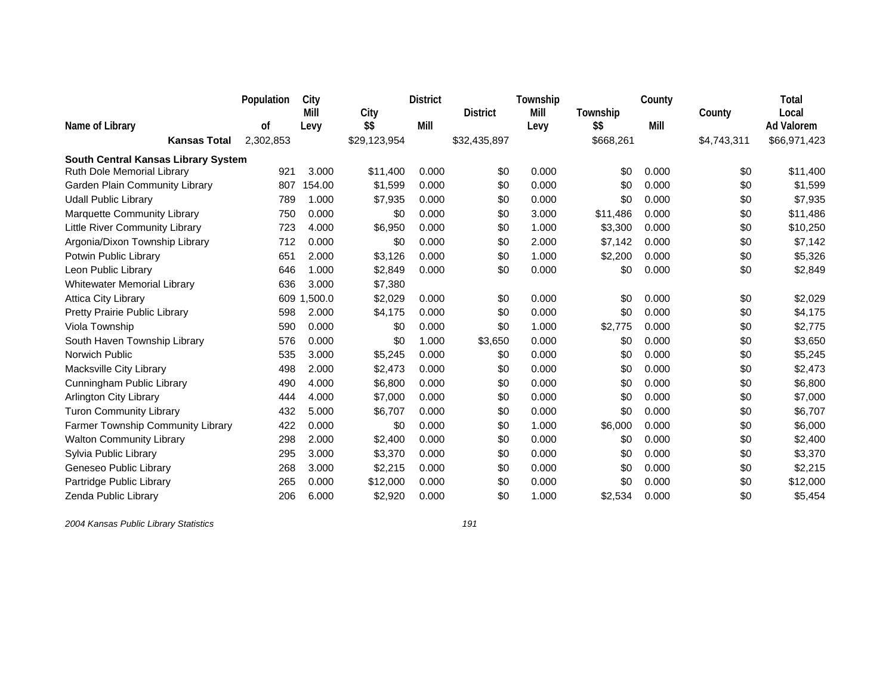|                                     | Population | City        |              | <b>District</b> |                 | Township |           | County |             | Total             |
|-------------------------------------|------------|-------------|--------------|-----------------|-----------------|----------|-----------|--------|-------------|-------------------|
|                                     |            | Mill        | City         |                 | <b>District</b> | Mill     | Township  |        | County      | Local             |
| Name of Library                     | 0f         | Levy        | \$\$         | Mill            |                 | Levy     | \$\$      | Mill   |             | <b>Ad Valorem</b> |
| <b>Kansas Total</b>                 | 2,302,853  |             | \$29,123,954 |                 | \$32,435,897    |          | \$668,261 |        | \$4,743,311 | \$66,971,423      |
| South Central Kansas Library System |            |             |              |                 |                 |          |           |        |             |                   |
| Ruth Dole Memorial Library          | 921        | 3.000       | \$11,400     | 0.000           | \$0             | 0.000    | \$0       | 0.000  | \$0         | \$11,400          |
| Garden Plain Community Library      | 807        | 154.00      | \$1,599      | 0.000           | \$0             | 0.000    | \$0       | 0.000  | \$0         | \$1,599           |
| <b>Udall Public Library</b>         | 789        | 1.000       | \$7,935      | 0.000           | \$0             | 0.000    | \$0       | 0.000  | \$0         | \$7,935           |
| Marquette Community Library         | 750        | 0.000       | \$0          | 0.000           | \$0             | 3.000    | \$11,486  | 0.000  | \$0         | \$11,486          |
| Little River Community Library      | 723        | 4.000       | \$6,950      | 0.000           | \$0             | 1.000    | \$3,300   | 0.000  | \$0         | \$10,250          |
| Argonia/Dixon Township Library      | 712        | 0.000       | \$0          | 0.000           | \$0             | 2.000    | \$7,142   | 0.000  | \$0         | \$7,142           |
| Potwin Public Library               | 651        | 2.000       | \$3,126      | 0.000           | \$0             | 1.000    | \$2,200   | 0.000  | \$0         | \$5,326           |
| Leon Public Library                 | 646        | 1.000       | \$2,849      | 0.000           | \$0             | 0.000    | \$0       | 0.000  | \$0         | \$2,849           |
| <b>Whitewater Memorial Library</b>  | 636        | 3.000       | \$7,380      |                 |                 |          |           |        |             |                   |
| <b>Attica City Library</b>          |            | 609 1.500.0 | \$2,029      | 0.000           | \$0             | 0.000    | \$0       | 0.000  | \$0         | \$2,029           |
| Pretty Prairie Public Library       | 598        | 2.000       | \$4,175      | 0.000           | \$0             | 0.000    | \$0       | 0.000  | \$0         | \$4,175           |
| Viola Township                      | 590        | 0.000       | \$0          | 0.000           | \$0             | 1.000    | \$2,775   | 0.000  | \$0         | \$2,775           |
| South Haven Township Library        | 576        | 0.000       | \$0          | 1.000           | \$3,650         | 0.000    | \$0       | 0.000  | \$0         | \$3,650           |
| <b>Norwich Public</b>               | 535        | 3.000       | \$5,245      | 0.000           | \$0             | 0.000    | \$0       | 0.000  | \$0         | \$5,245           |
| Macksville City Library             | 498        | 2.000       | \$2,473      | 0.000           | \$0             | 0.000    | \$0       | 0.000  | \$0         | \$2,473           |
| Cunningham Public Library           | 490        | 4.000       | \$6,800      | 0.000           | \$0             | 0.000    | \$0       | 0.000  | \$0         | \$6,800           |
| <b>Arlington City Library</b>       | 444        | 4.000       | \$7,000      | 0.000           | \$0             | 0.000    | \$0       | 0.000  | \$0         | \$7,000           |
| <b>Turon Community Library</b>      | 432        | 5.000       | \$6,707      | 0.000           | \$0             | 0.000    | \$0       | 0.000  | \$0         | \$6,707           |
| Farmer Township Community Library   | 422        | 0.000       | \$0          | 0.000           | \$0             | 1.000    | \$6,000   | 0.000  | \$0         | \$6,000           |
| <b>Walton Community Library</b>     | 298        | 2.000       | \$2,400      | 0.000           | \$0             | 0.000    | \$0       | 0.000  | \$0         | \$2,400           |
| Sylvia Public Library               | 295        | 3.000       | \$3,370      | 0.000           | \$0             | 0.000    | \$0       | 0.000  | \$0         | \$3,370           |
| Geneseo Public Library              | 268        | 3.000       | \$2,215      | 0.000           | \$0             | 0.000    | \$0       | 0.000  | \$0         | \$2,215           |
| Partridge Public Library            | 265        | 0.000       | \$12,000     | 0.000           | \$0             | 0.000    | \$0       | 0.000  | \$0         | \$12,000          |
| Zenda Public Library                | 206        | 6.000       | \$2,920      | 0.000           | \$0             | 1.000    | \$2,534   | 0.000  | \$0         | \$5,454           |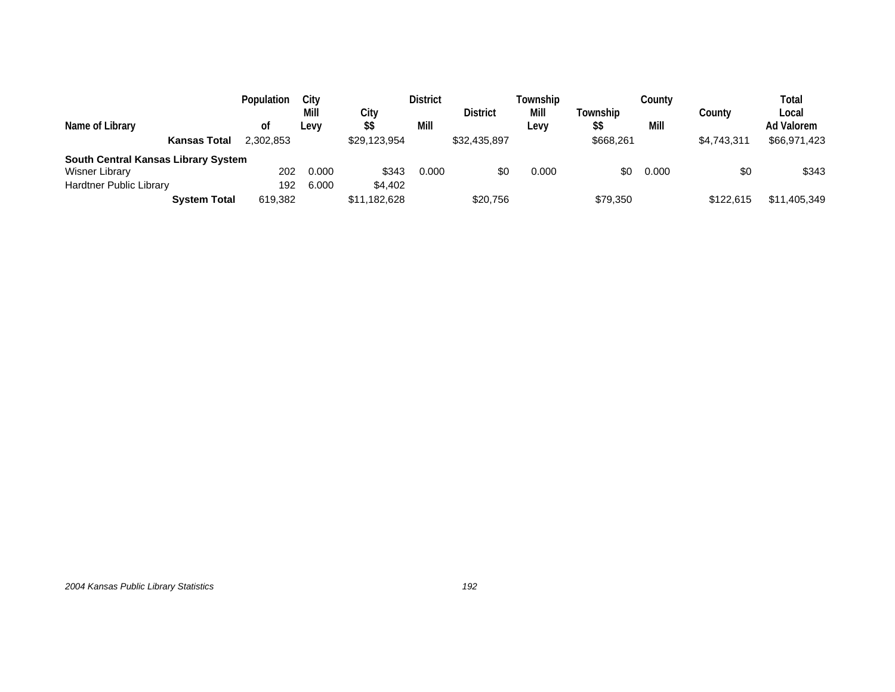| Name of Library                     | Population<br>οt | Citv<br>Mill<br>Levy |       | City<br>\$\$ | <b>District</b><br>Mill | <b>District</b> | Township<br>Mill<br>Levv | Township<br>\$\$ | Countv<br>Mill | Countv      | Total<br>Local<br>Ad Valorem |
|-------------------------------------|------------------|----------------------|-------|--------------|-------------------------|-----------------|--------------------------|------------------|----------------|-------------|------------------------------|
| <b>Kansas Total</b>                 | 2.302.853        |                      |       | \$29,123,954 |                         | \$32,435,897    |                          | \$668,261        |                | \$4,743,311 | \$66,971,423                 |
| South Central Kansas Library System |                  |                      |       |              |                         |                 |                          |                  |                |             |                              |
| <b>Wisner Library</b>               |                  | 202                  | 0.000 | \$343        | 0.000                   | \$0             | 0.000                    | \$0              | 0.000          | \$0         | \$343                        |
| Hardtner Public Library             |                  | 192                  | 6.000 | \$4,402      |                         |                 |                          |                  |                |             |                              |
| <b>System Total</b>                 |                  | 619.382              |       | \$11,182,628 |                         | \$20,756        |                          | \$79,350         |                | \$122,615   | \$11,405,349                 |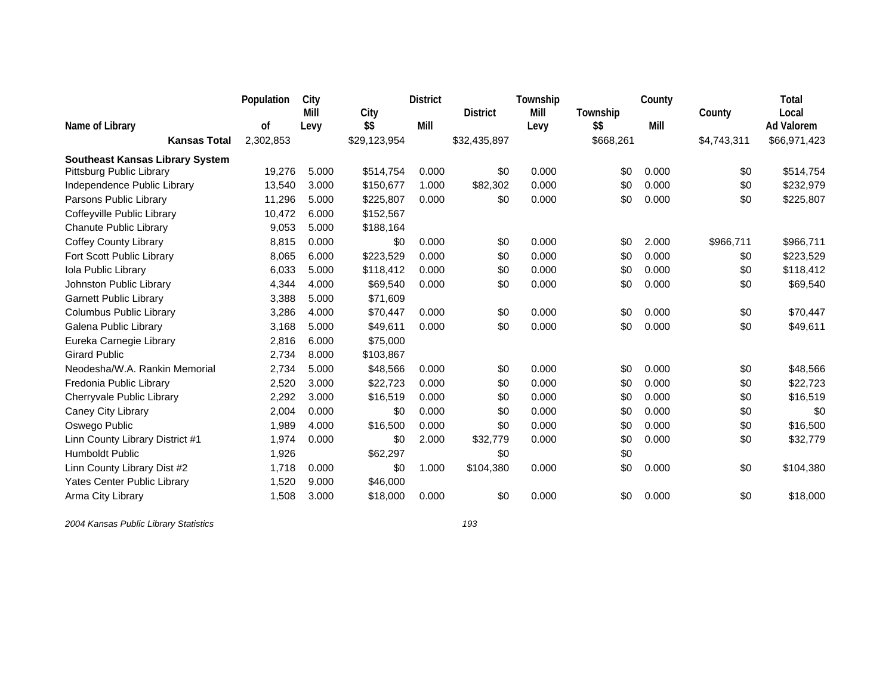|                                        | Population | City  |              | <b>District</b> |                 | Township |           | County |             | Total             |
|----------------------------------------|------------|-------|--------------|-----------------|-----------------|----------|-----------|--------|-------------|-------------------|
|                                        |            | Mill  | City         |                 | <b>District</b> | Mill     | Township  |        | County      | Local             |
| Name of Library                        | 0f         | Levy  | \$\$         | Mill            |                 | Levy     | \$\$      | Mill   |             | <b>Ad Valorem</b> |
| <b>Kansas Total</b>                    | 2,302,853  |       | \$29,123,954 |                 | \$32,435,897    |          | \$668,261 |        | \$4,743,311 | \$66,971,423      |
| <b>Southeast Kansas Library System</b> |            |       |              |                 |                 |          |           |        |             |                   |
| Pittsburg Public Library               | 19,276     | 5.000 | \$514,754    | 0.000           | \$0             | 0.000    | \$0       | 0.000  | \$0         | \$514,754         |
| Independence Public Library            | 13,540     | 3.000 | \$150,677    | 1.000           | \$82,302        | 0.000    | \$0       | 0.000  | \$0         | \$232,979         |
| Parsons Public Library                 | 11,296     | 5.000 | \$225,807    | 0.000           | \$0             | 0.000    | \$0       | 0.000  | \$0         | \$225,807         |
| Coffeyville Public Library             | 10,472     | 6.000 | \$152,567    |                 |                 |          |           |        |             |                   |
| Chanute Public Library                 | 9,053      | 5.000 | \$188,164    |                 |                 |          |           |        |             |                   |
| <b>Coffey County Library</b>           | 8,815      | 0.000 | \$0          | 0.000           | \$0             | 0.000    | \$0       | 2.000  | \$966,711   | \$966,711         |
| Fort Scott Public Library              | 8,065      | 6.000 | \$223,529    | 0.000           | \$0             | 0.000    | \$0       | 0.000  | \$0         | \$223,529         |
| Iola Public Library                    | 6,033      | 5.000 | \$118,412    | 0.000           | \$0             | 0.000    | \$0       | 0.000  | \$0         | \$118,412         |
| Johnston Public Library                | 4,344      | 4.000 | \$69,540     | 0.000           | \$0             | 0.000    | \$0       | 0.000  | \$0         | \$69,540          |
| <b>Garnett Public Library</b>          | 3,388      | 5.000 | \$71,609     |                 |                 |          |           |        |             |                   |
| Columbus Public Library                | 3,286      | 4.000 | \$70,447     | 0.000           | \$0             | 0.000    | \$0       | 0.000  | \$0         | \$70,447          |
| Galena Public Library                  | 3,168      | 5.000 | \$49,611     | 0.000           | \$0             | 0.000    | \$0       | 0.000  | \$0         | \$49,611          |
| Eureka Carnegie Library                | 2,816      | 6.000 | \$75,000     |                 |                 |          |           |        |             |                   |
| <b>Girard Public</b>                   | 2,734      | 8.000 | \$103,867    |                 |                 |          |           |        |             |                   |
| Neodesha/W.A. Rankin Memorial          | 2,734      | 5.000 | \$48,566     | 0.000           | \$0             | 0.000    | \$0       | 0.000  | \$0         | \$48,566          |
| Fredonia Public Library                | 2,520      | 3.000 | \$22,723     | 0.000           | \$0             | 0.000    | \$0       | 0.000  | \$0         | \$22,723          |
| Cherryvale Public Library              | 2,292      | 3.000 | \$16,519     | 0.000           | \$0             | 0.000    | \$0       | 0.000  | \$0         | \$16,519          |
| Caney City Library                     | 2,004      | 0.000 | \$0          | 0.000           | \$0             | 0.000    | \$0       | 0.000  | \$0         | \$0               |
| Oswego Public                          | 1,989      | 4.000 | \$16,500     | 0.000           | \$0             | 0.000    | \$0       | 0.000  | \$0         | \$16,500          |
| Linn County Library District #1        | 1,974      | 0.000 | \$0          | 2.000           | \$32,779        | 0.000    | \$0       | 0.000  | \$0         | \$32,779          |
| Humboldt Public                        | 1,926      |       | \$62,297     |                 | \$0             |          | \$0       |        |             |                   |
| Linn County Library Dist #2            | 1,718      | 0.000 | \$0          | 1.000           | \$104,380       | 0.000    | \$0       | 0.000  | \$0         | \$104,380         |
| <b>Yates Center Public Library</b>     | 1,520      | 9.000 | \$46,000     |                 |                 |          |           |        |             |                   |
| Arma City Library                      | 1,508      | 3.000 | \$18,000     | 0.000           | \$0             | 0.000    | \$0       | 0.000  | \$0         | \$18,000          |
|                                        |            |       |              |                 |                 |          |           |        |             |                   |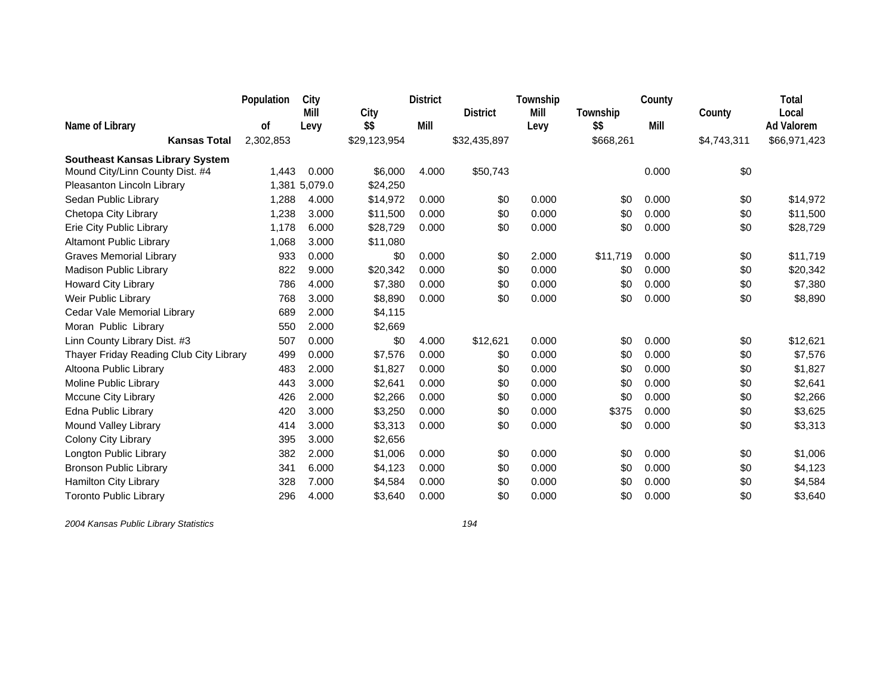|                                         | Population | City          |              | <b>District</b> |                 | Township |           | County |             | Total             |
|-----------------------------------------|------------|---------------|--------------|-----------------|-----------------|----------|-----------|--------|-------------|-------------------|
|                                         |            | Mill          | City         |                 | <b>District</b> | Mill     | Township  |        | County      | Local             |
| Name of Library                         | 0f         | Levy          | \$\$         | Mill            |                 | Levy     | \$\$      | Mill   |             | <b>Ad Valorem</b> |
| <b>Kansas Total</b>                     | 2,302,853  |               | \$29,123,954 |                 | \$32,435,897    |          | \$668,261 |        | \$4,743,311 | \$66,971,423      |
| <b>Southeast Kansas Library System</b>  |            |               |              |                 |                 |          |           |        |             |                   |
| Mound City/Linn County Dist. #4         | 1,443      | 0.000         | \$6,000      | 4.000           | \$50,743        |          |           | 0.000  | \$0         |                   |
| Pleasanton Lincoln Library              |            | 1,381 5,079.0 | \$24,250     |                 |                 |          |           |        |             |                   |
| Sedan Public Library                    | 1,288      | 4.000         | \$14,972     | 0.000           | \$0             | 0.000    | \$0       | 0.000  | \$0         | \$14,972          |
| Chetopa City Library                    | 1,238      | 3.000         | \$11,500     | 0.000           | \$0             | 0.000    | \$0       | 0.000  | \$0         | \$11,500          |
| Erie City Public Library                | 1,178      | 6.000         | \$28,729     | 0.000           | \$0             | 0.000    | \$0       | 0.000  | \$0         | \$28,729          |
| <b>Altamont Public Library</b>          | 1,068      | 3.000         | \$11,080     |                 |                 |          |           |        |             |                   |
| <b>Graves Memorial Library</b>          | 933        | 0.000         | \$0          | 0.000           | \$0             | 2.000    | \$11,719  | 0.000  | \$0         | \$11,719          |
| <b>Madison Public Library</b>           | 822        | 9.000         | \$20,342     | 0.000           | \$0             | 0.000    | \$0       | 0.000  | \$0         | \$20,342          |
| <b>Howard City Library</b>              | 786        | 4.000         | \$7,380      | 0.000           | \$0             | 0.000    | \$0       | 0.000  | \$0         | \$7,380           |
| Weir Public Library                     | 768        | 3.000         | \$8,890      | 0.000           | \$0             | 0.000    | \$0       | 0.000  | \$0         | \$8,890           |
| Cedar Vale Memorial Library             | 689        | 2.000         | \$4,115      |                 |                 |          |           |        |             |                   |
| Moran Public Library                    | 550        | 2.000         | \$2,669      |                 |                 |          |           |        |             |                   |
| Linn County Library Dist. #3            | 507        | 0.000         | \$0          | 4.000           | \$12,621        | 0.000    | \$0       | 0.000  | \$0         | \$12,621          |
| Thayer Friday Reading Club City Library | 499        | 0.000         | \$7,576      | 0.000           | \$0             | 0.000    | \$0       | 0.000  | \$0         | \$7,576           |
| Altoona Public Library                  | 483        | 2.000         | \$1,827      | 0.000           | \$0             | 0.000    | \$0       | 0.000  | \$0         | \$1,827           |
| Moline Public Library                   | 443        | 3.000         | \$2,641      | 0.000           | \$0             | 0.000    | \$0       | 0.000  | \$0         | \$2,641           |
| Mccune City Library                     | 426        | 2.000         | \$2,266      | 0.000           | \$0             | 0.000    | \$0       | 0.000  | \$0         | \$2,266           |
| Edna Public Library                     | 420        | 3.000         | \$3,250      | 0.000           | \$0             | 0.000    | \$375     | 0.000  | \$0         | \$3,625           |
| Mound Valley Library                    | 414        | 3.000         | \$3,313      | 0.000           | \$0             | 0.000    | \$0       | 0.000  | \$0         | \$3,313           |
| Colony City Library                     | 395        | 3.000         | \$2,656      |                 |                 |          |           |        |             |                   |
| Longton Public Library                  | 382        | 2.000         | \$1,006      | 0.000           | \$0             | 0.000    | \$0       | 0.000  | \$0         | \$1,006           |
| <b>Bronson Public Library</b>           | 341        | 6.000         | \$4,123      | 0.000           | \$0             | 0.000    | \$0       | 0.000  | \$0         | \$4,123           |
| Hamilton City Library                   | 328        | 7.000         | \$4,584      | 0.000           | \$0             | 0.000    | \$0       | 0.000  | \$0         | \$4,584           |
| <b>Toronto Public Library</b>           | 296        | 4.000         | \$3,640      | 0.000           | \$0             | 0.000    | \$0       | 0.000  | \$0         | \$3,640           |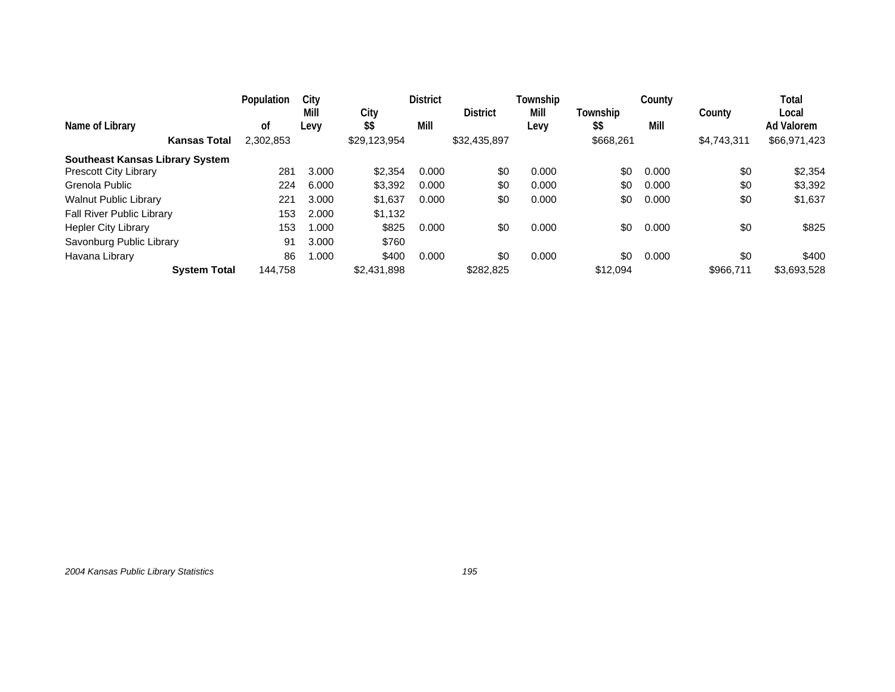|                                        | Population | City         |              | <b>District</b> |                 | Township |                  | County |             | Total                      |
|----------------------------------------|------------|--------------|--------------|-----------------|-----------------|----------|------------------|--------|-------------|----------------------------|
| Name of Library                        | 0t         | Mill<br>Levy | City<br>\$\$ | Mill            | <b>District</b> | Mill     | Township<br>\$\$ | Mill   | County      | Local<br><b>Ad Valorem</b> |
|                                        |            |              |              |                 |                 | Levy     |                  |        |             |                            |
| <b>Kansas Total</b>                    | 2,302,853  |              | \$29,123,954 |                 | \$32,435,897    |          | \$668,261        |        | \$4,743,311 | \$66,971,423               |
| <b>Southeast Kansas Library System</b> |            |              |              |                 |                 |          |                  |        |             |                            |
| <b>Prescott City Library</b>           | 281        | 3.000        | \$2,354      | 0.000           | \$0             | 0.000    | \$0              | 0.000  | \$0         | \$2,354                    |
| Grenola Public                         | 224        | 6.000        | \$3,392      | 0.000           | \$0             | 0.000    | \$0              | 0.000  | \$0         | \$3,392                    |
| <b>Walnut Public Library</b>           | 221        | 3.000        | \$1,637      | 0.000           | \$0             | 0.000    | \$0              | 0.000  | \$0         | \$1,637                    |
| Fall River Public Library              | 153        | 2.000        | \$1,132      |                 |                 |          |                  |        |             |                            |
| Hepler City Library                    | 153        | 000.1        | \$825        | 0.000           | \$0             | 0.000    | \$0              | 0.000  | \$0         | \$825                      |
| Savonburg Public Library               | 91         | 3.000        | \$760        |                 |                 |          |                  |        |             |                            |
| Havana Library                         | 86         | 1.000        | \$400        | 0.000           | \$0             | 0.000    | \$0              | 0.000  | \$0         | \$400                      |
| <b>System Total</b>                    | 144,758    |              | \$2,431,898  |                 | \$282,825       |          | \$12.094         |        | \$966.711   | \$3,693,528                |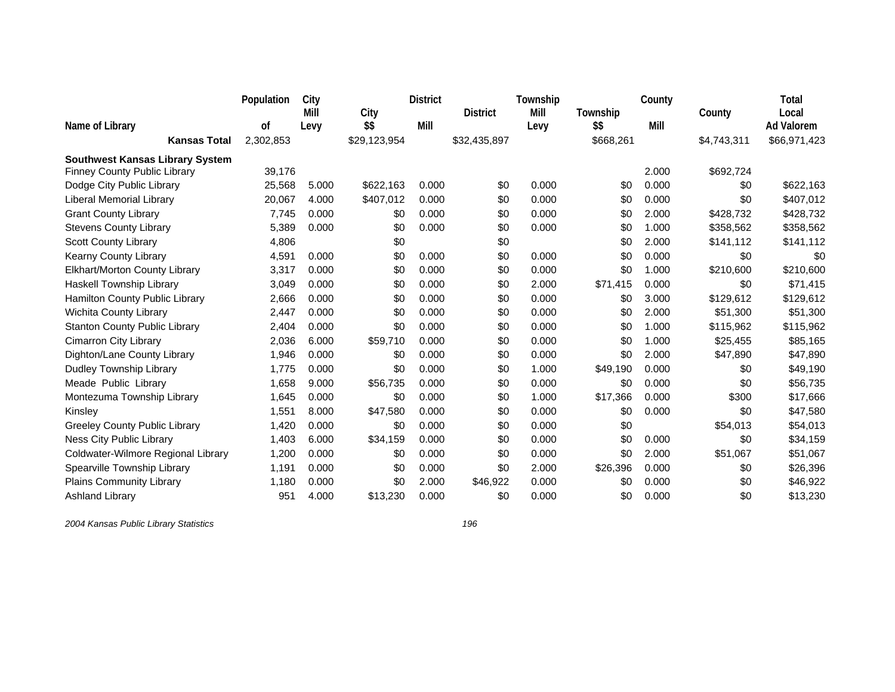|                                        | Population | City  |              | <b>District</b> |                 | Township |           | County |             | Total             |
|----------------------------------------|------------|-------|--------------|-----------------|-----------------|----------|-----------|--------|-------------|-------------------|
|                                        |            | Mill  | City         |                 | <b>District</b> | Mill     | Township  |        | County      | Local             |
| Name of Library                        | 0f         | Levy  | \$\$         | Mill            |                 | Levy     | \$\$      | Mill   |             | <b>Ad Valorem</b> |
| <b>Kansas Total</b>                    | 2,302,853  |       | \$29,123,954 |                 | \$32,435,897    |          | \$668,261 |        | \$4,743,311 | \$66,971,423      |
| <b>Southwest Kansas Library System</b> |            |       |              |                 |                 |          |           |        |             |                   |
| <b>Finney County Public Library</b>    | 39,176     |       |              |                 |                 |          |           | 2.000  | \$692,724   |                   |
| Dodge City Public Library              | 25,568     | 5.000 | \$622,163    | 0.000           | \$0             | 0.000    | \$0       | 0.000  | \$0         | \$622,163         |
| <b>Liberal Memorial Library</b>        | 20,067     | 4.000 | \$407,012    | 0.000           | \$0             | 0.000    | \$0       | 0.000  | \$0         | \$407,012         |
| <b>Grant County Library</b>            | 7,745      | 0.000 | \$0          | 0.000           | \$0             | 0.000    | \$0       | 2.000  | \$428,732   | \$428,732         |
| <b>Stevens County Library</b>          | 5,389      | 0.000 | \$0          | 0.000           | \$0             | 0.000    | \$0       | 1.000  | \$358,562   | \$358,562         |
| <b>Scott County Library</b>            | 4,806      |       | \$0          |                 | \$0             |          | \$0       | 2.000  | \$141,112   | \$141,112         |
| Kearny County Library                  | 4,591      | 0.000 | \$0          | 0.000           | \$0             | 0.000    | \$0       | 0.000  | \$0         | \$0               |
| Elkhart/Morton County Library          | 3,317      | 0.000 | \$0          | 0.000           | \$0             | 0.000    | \$0       | 1.000  | \$210,600   | \$210,600         |
| Haskell Township Library               | 3,049      | 0.000 | \$0          | 0.000           | \$0             | 2.000    | \$71,415  | 0.000  | \$0         | \$71,415          |
| Hamilton County Public Library         | 2,666      | 0.000 | \$0          | 0.000           | \$0             | 0.000    | \$0       | 3.000  | \$129,612   | \$129,612         |
| Wichita County Library                 | 2,447      | 0.000 | \$0          | 0.000           | \$0             | 0.000    | \$0       | 2.000  | \$51,300    | \$51,300          |
| <b>Stanton County Public Library</b>   | 2,404      | 0.000 | \$0          | 0.000           | \$0             | 0.000    | \$0       | 1.000  | \$115,962   | \$115,962         |
| <b>Cimarron City Library</b>           | 2,036      | 6.000 | \$59,710     | 0.000           | \$0             | 0.000    | \$0       | 1.000  | \$25,455    | \$85,165          |
| Dighton/Lane County Library            | 1,946      | 0.000 | \$0          | 0.000           | \$0             | 0.000    | \$0       | 2.000  | \$47,890    | \$47,890          |
| Dudley Township Library                | 1,775      | 0.000 | \$0          | 0.000           | \$0             | 1.000    | \$49,190  | 0.000  | \$0         | \$49,190          |
| Meade Public Library                   | 1,658      | 9.000 | \$56,735     | 0.000           | \$0             | 0.000    | \$0       | 0.000  | \$0         | \$56,735          |
| Montezuma Township Library             | 1,645      | 0.000 | \$0          | 0.000           | \$0             | 1.000    | \$17,366  | 0.000  | \$300       | \$17,666          |
| Kinsley                                | 1,551      | 8.000 | \$47,580     | 0.000           | \$0             | 0.000    | \$0       | 0.000  | \$0         | \$47,580          |
| <b>Greeley County Public Library</b>   | 1,420      | 0.000 | \$0          | 0.000           | \$0             | 0.000    | \$0       |        | \$54,013    | \$54,013          |
| Ness City Public Library               | 1,403      | 6.000 | \$34,159     | 0.000           | \$0             | 0.000    | \$0       | 0.000  | \$0         | \$34,159          |
| Coldwater-Wilmore Regional Library     | 1,200      | 0.000 | \$0          | 0.000           | \$0             | 0.000    | \$0       | 2.000  | \$51,067    | \$51,067          |
| Spearville Township Library            | 1,191      | 0.000 | \$0          | 0.000           | \$0             | 2.000    | \$26,396  | 0.000  | \$0         | \$26,396          |
| Plains Community Library               | 1,180      | 0.000 | \$0          | 2.000           | \$46,922        | 0.000    | \$0       | 0.000  | \$0         | \$46,922          |
| <b>Ashland Library</b>                 | 951        | 4.000 | \$13,230     | 0.000           | \$0             | 0.000    | \$0       | 0.000  | \$0         | \$13,230          |